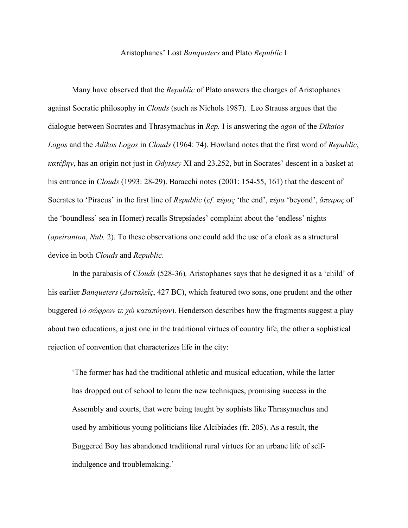## Aristophanes' Lost *Banqueters* and Plato *Republic* I

Many have observed that the *Republic* of Plato answers the charges of Aristophanes against Socratic philosophy in *Clouds* (such as Nichols 1987). Leo Strauss argues that the dialogue between Socrates and Thrasymachus in *Rep.* I is answering the *agon* of the *Dikaios Logos* and the *Adikos Logos* in *Clouds* (1964: 74). Howland notes that the first word of *Republic*, *κατέβην*, has an origin not just in *Odyssey* XI and 23.252, but in Socrates' descent in a basket at his entrance in *Clouds* (1993: 28-29). Baracchi notes (2001: 154-55, 161) that the descent of Socrates to 'Piraeus' in the first line of *Republic* (*cf. πέρας* 'the end', *πέρα* 'beyond', *ἄπειρος* of the 'boundless' sea in Homer) recalls Strepsiades' complaint about the 'endless' nights (*apeiranton*, *Nub.* 2). To these observations one could add the use of a cloak as a structural device in both *Clouds* and *Republic*.

In the parabasis of *Clouds* (528-36)*,* Aristophanes says that he designed it as a 'child' of his earlier *Banqueters* (*Δαιταλεῖς*, 427 BC), which featured two sons, one prudent and the other buggered (*ὁ σώφρων τε χὡ καταπύγων*). Henderson describes how the fragments suggest a play about two educations, a just one in the traditional virtues of country life, the other a sophistical rejection of convention that characterizes life in the city:

'The former has had the traditional athletic and musical education, while the latter has dropped out of school to learn the new techniques, promising success in the Assembly and courts, that were being taught by sophists like Thrasymachus and used by ambitious young politicians like Alcibiades (fr. 205). As a result, the Buggered Boy has abandoned traditional rural virtues for an urbane life of selfindulgence and troublemaking.'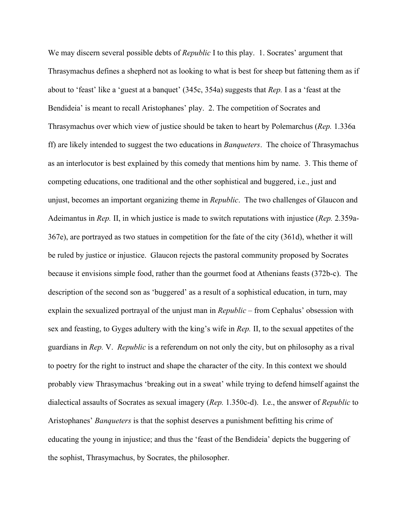We may discern several possible debts of *Republic* I to this play. 1. Socrates' argument that Thrasymachus defines a shepherd not as looking to what is best for sheep but fattening them as if about to 'feast' like a 'guest at a banquet' (345c, 354a) suggests that *Rep.* I as a 'feast at the Bendideia' is meant to recall Aristophanes' play. 2. The competition of Socrates and Thrasymachus over which view of justice should be taken to heart by Polemarchus (*Rep.* 1.336a ff) are likely intended to suggest the two educations in *Banqueters*. The choice of Thrasymachus as an interlocutor is best explained by this comedy that mentions him by name. 3. This theme of competing educations, one traditional and the other sophistical and buggered, i.e., just and unjust, becomes an important organizing theme in *Republic*. The two challenges of Glaucon and Adeimantus in *Rep.* II, in which justice is made to switch reputations with injustice (*Rep.* 2.359a-367e), are portrayed as two statues in competition for the fate of the city (361d), whether it will be ruled by justice or injustice. Glaucon rejects the pastoral community proposed by Socrates because it envisions simple food, rather than the gourmet food at Athenians feasts (372b-c). The description of the second son as 'buggered' as a result of a sophistical education, in turn, may explain the sexualized portrayal of the unjust man in *Republic* – from Cephalus' obsession with sex and feasting, to Gyges adultery with the king's wife in *Rep.* II, to the sexual appetites of the guardians in *Rep.* V. *Republic* is a referendum on not only the city, but on philosophy as a rival to poetry for the right to instruct and shape the character of the city. In this context we should probably view Thrasymachus 'breaking out in a sweat' while trying to defend himself against the dialectical assaults of Socrates as sexual imagery (*Rep.* 1.350c-d). I.e., the answer of *Republic* to Aristophanes' *Banqueters* is that the sophist deserves a punishment befitting his crime of educating the young in injustice; and thus the 'feast of the Bendideia' depicts the buggering of the sophist, Thrasymachus, by Socrates, the philosopher.